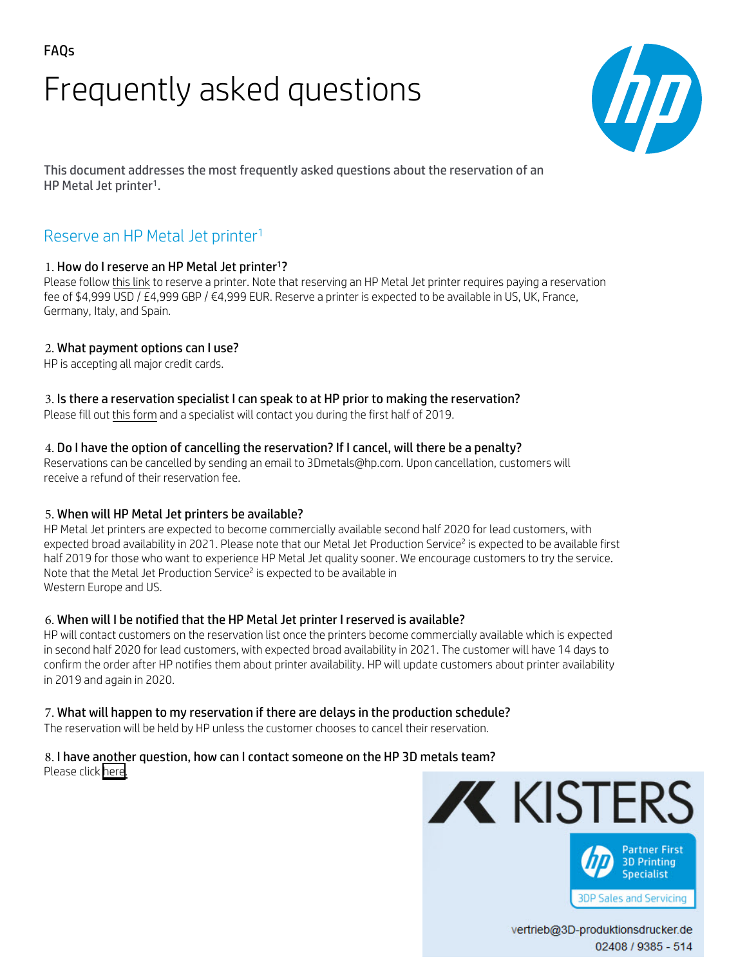# Frequently asked questions



This document addresses the most frequently asked questions about the reservation of an HP Metal Jet printer<sup>1</sup>.

## Reserve an HP Metal Jet printer<sup>1</sup>

## 1. How do I reserve an HP Metal Jet printer<sup>1</sup>?

Please follo[w this link](https://www.3d-produktionsdrucker.de/hp-jet-fusion-preise/anfrage-hp-metal-jet/) to reserve a printer. Note that reserving an HP Metal Jet printer requires paying a reservation fee of \$4,999 USD / £4,999 GBP / €4,999 EUR. Reserve a printer is expected to be available in US, UK, France, Germany, Italy, and Spain.

#### 2. What payment options can I use?

HP is accepting all major credit cards.

#### 3. Is there a reservation specialist I can speak to at HP prior to making the reservation?

Please fill out this [form](https://www.3d-produktionsdrucker.de/hp-jet-fusion-preise/anfrage-hp-metal-jet/) and a specialist will contact you during the first half of 2019.

#### 4. Do I have the option of cancelling the reservation? If I cancel, will there be a penalty?

Reservations can be cancelled by sending an email to [3Dmetals@hp.com.](mailto:3Dmetals@hp.com) Upon cancellation, customers will receive a refund of their reservation fee.

## 5. When will HP Metal Jet printers be available?

HP Metal Jet printers are expected to become commercially available second half 2020 for lead customers, with expected broad availability in 2021. Please note that our Metal Jet Production Service<sup>2</sup> is expected to be available first half 2019 for those who want to experience HP Metal Jet quality sooner. We encourage customers to try the service. [Note that the Metal Jet Production Serv](http://www8.hp.com/us/en/printers/3d-printers/metals.html#parts)ice<sup>2</sup> is expected to be available in Western Europe and US.

#### 6. When will I be notified that the HP Metal Jet printer I reserved is available?

HP will contact customers on the reservation list once the printers become commercially available which is expected in second half 2020 for lead customers, with expected broad availability in 2021. The customer will have 14 days to confirm the order after HP notifies them about printer availability. HP will update customers about printer availability in 2019 and again in 2020.

#### 7. What will happen to my reservation if there are delays in the production schedule?

The reservation will be held by HP unless the customer chooses to cancel their reservation.

# 8. I have another question, how can I contact someone on the HP 3D metals team?

Please clic[k here.](https://enable.hp.com/us-en-3d-printers-metals-contactus)



vertrieb@3D-produktionsdrucker.de 02408 / 9385 - 514